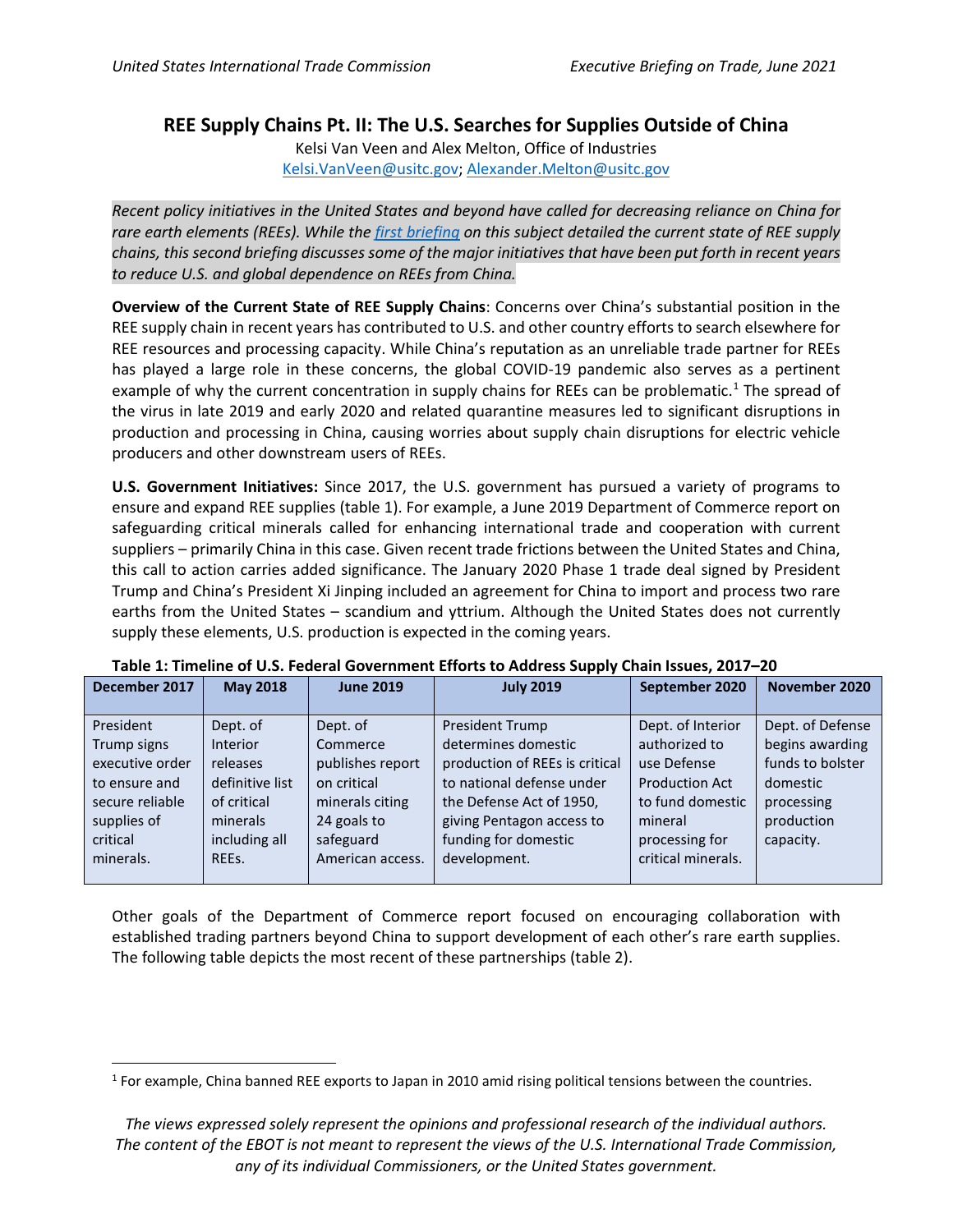## **REE Supply Chains Pt. II: The U.S. Searches for Supplies Outside of China**

Kelsi Van Veen and Alex Melton, Office of Industries [Kelsi.VanVeen@usitc.gov;](mailto:Kelsi.VanVeen@usitc.gov) [Alexa](mailto:Alex.Melton@usitc.gov)nder.Melton@usitc.gov

*Recent policy initiatives in the United States and beyond have called for decreasing reliance on China for rare earth elements (REEs). While the [first briefing](https://www.usitc.gov/sites/default/files/publications/332/executive_briefings/ebot_rare_earths_part_1.pdf) on this subject detailed the current state of REE supply chains, this second briefing discusses some of the major initiatives that have been put forth in recent years to reduce U.S. and global dependence on REEs from China.*

**Overview of the Current State of REE Supply Chains**: Concerns over China's substantial position in the REE supply chain in recent years has contributed to U.S. and other country efforts to search elsewhere for REE resources and processing capacity. While China's reputation as an unreliable trade partner for REEs has played a large role in these concerns, the global COVID-19 pandemic also serves as a pertinent example of why the current concentration in supply chains for REEs can be problematic.<sup>[1](#page-0-0)</sup> The spread of the virus in late 2019 and early 2020 and related quarantine measures led to significant disruptions in production and processing in China, causing worries about supply chain disruptions for electric vehicle producers and other downstream users of REEs.

**U.S. Government Initiatives:** Since 2017, the U.S. government has pursued a variety of programs to ensure and expand REE supplies (table 1). For example, a June 2019 Department of Commerce report on safeguarding critical minerals called for enhancing international trade and cooperation with current suppliers – primarily China in this case. Given recent trade frictions between the United States and China, this call to action carries added significance. The January 2020 Phase 1 trade deal signed by President Trump and China's President Xi Jinping included an agreement for China to import and process two rare earths from the United States – scandium and yttrium. Although the United States does not currently supply these elements, U.S. production is expected in the coming years.

| December 2017   | <b>May 2018</b> | <b>June 2019</b> | <b>July 2019</b>               | September 2020        | November 2020    |
|-----------------|-----------------|------------------|--------------------------------|-----------------------|------------------|
|                 |                 |                  |                                |                       |                  |
| President       | Dept. of        | Dept. of         | <b>President Trump</b>         | Dept. of Interior     | Dept. of Defense |
| Trump signs     | <b>Interior</b> | Commerce         | determines domestic            | authorized to         | begins awarding  |
| executive order | releases        | publishes report | production of REEs is critical | use Defense           | funds to bolster |
| to ensure and   | definitive list | on critical      | to national defense under      | <b>Production Act</b> | domestic         |
| secure reliable | of critical     | minerals citing  | the Defense Act of 1950,       | to fund domestic      | processing       |
| supplies of     | minerals        | 24 goals to      | giving Pentagon access to      | mineral               | production       |
| critical        | including all   | safeguard        | funding for domestic           | processing for        | capacity.        |
| minerals.       | REES.           | American access. | development.                   | critical minerals.    |                  |
|                 |                 |                  |                                |                       |                  |

| Table 1: Timeline of U.S. Federal Government Efforts to Address Supply Chain Issues, 2017-20 |  |  |  |  |  |  |  |
|----------------------------------------------------------------------------------------------|--|--|--|--|--|--|--|
|----------------------------------------------------------------------------------------------|--|--|--|--|--|--|--|

Other goals of the Department of Commerce report focused on encouraging collaboration with established trading partners beyond China to support development of each other's rare earth supplies. The following table depicts the most recent of these partnerships (table 2).

<span id="page-0-0"></span><sup>&</sup>lt;sup>1</sup> For example, China banned REE exports to Japan in 2010 amid rising political tensions between the countries.

*The views expressed solely represent the opinions and professional research of the individual authors. The content of the EBOT is not meant to represent the views of the U.S. International Trade Commission, any of its individual Commissioners, or the United States government.*